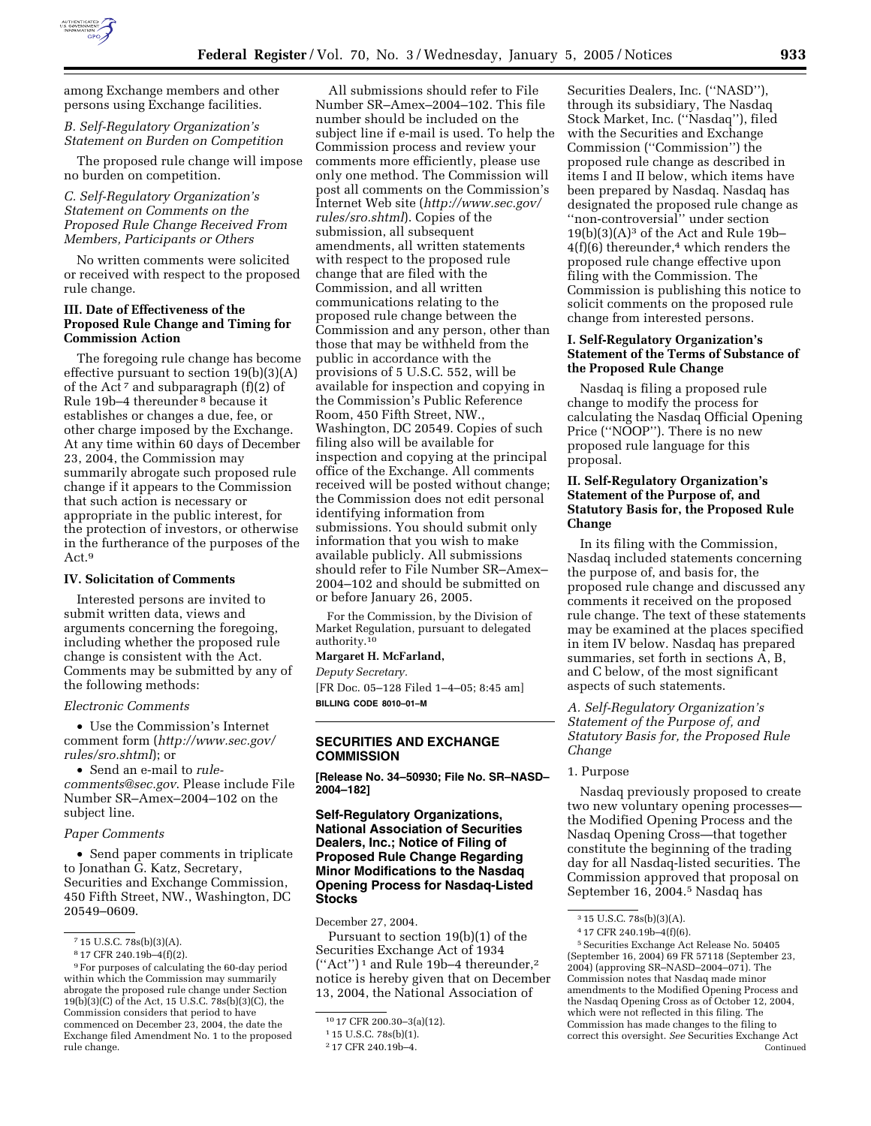

among Exchange members and other persons using Exchange facilities.

# *B. Self-Regulatory Organization's Statement on Burden on Competition*

The proposed rule change will impose no burden on competition.

# *C. Self-Regulatory Organization's Statement on Comments on the Proposed Rule Change Received From Members, Participants or Others*

No written comments were solicited or received with respect to the proposed rule change.

#### **III. Date of Effectiveness of the Proposed Rule Change and Timing for Commission Action**

The foregoing rule change has become effective pursuant to section 19(b)(3)(A) of the Act<sup>7</sup> and subparagraph (f)(2) of Rule 19b–4 thereunder 8 because it establishes or changes a due, fee, or other charge imposed by the Exchange. At any time within 60 days of December 23, 2004, the Commission may summarily abrogate such proposed rule change if it appears to the Commission that such action is necessary or appropriate in the public interest, for the protection of investors, or otherwise in the furtherance of the purposes of the Act.9

# **IV. Solicitation of Comments**

Interested persons are invited to submit written data, views and arguments concerning the foregoing, including whether the proposed rule change is consistent with the Act. Comments may be submitted by any of the following methods:

### *Electronic Comments*

• Use the Commission's Internet comment form (*http://www.sec.gov/ rules/sro.shtml*); or

• Send an e-mail to *rulecomments@sec.gov*. Please include File Number SR–Amex–2004–102 on the subject line.

#### *Paper Comments*

• Send paper comments in triplicate to Jonathan G. Katz, Secretary, Securities and Exchange Commission, 450 Fifth Street, NW., Washington, DC 20549–0609.

All submissions should refer to File Number SR–Amex–2004–102. This file number should be included on the subject line if e-mail is used. To help the Commission process and review your comments more efficiently, please use only one method. The Commission will post all comments on the Commission's Internet Web site (*http://www.sec.gov/ rules/sro.shtml*). Copies of the submission, all subsequent amendments, all written statements with respect to the proposed rule change that are filed with the Commission, and all written communications relating to the proposed rule change between the Commission and any person, other than those that may be withheld from the public in accordance with the provisions of 5 U.S.C. 552, will be available for inspection and copying in the Commission's Public Reference Room, 450 Fifth Street, NW., Washington, DC 20549. Copies of such filing also will be available for inspection and copying at the principal office of the Exchange. All comments received will be posted without change; the Commission does not edit personal identifying information from submissions. You should submit only information that you wish to make available publicly. All submissions should refer to File Number SR–Amex– 2004–102 and should be submitted on or before January 26, 2005.

For the Commission, by the Division of Market Regulation, pursuant to delegated authority.10

#### **Margaret H. McFarland,**

*Deputy Secretary.*

[FR Doc. 05–128 Filed 1–4–05; 8:45 am] **BILLING CODE 8010–01–M**

## **SECURITIES AND EXCHANGE COMMISSION**

**[Release No. 34–50930; File No. SR–NASD– 2004–182]** 

## **Self-Regulatory Organizations, National Association of Securities Dealers, Inc.; Notice of Filing of Proposed Rule Change Regarding Minor Modifications to the Nasdaq Opening Process for Nasdaq-Listed Stocks**

December 27, 2004.

Pursuant to section 19(b)(1) of the Securities Exchange Act of 1934  $("Act")^1$  and Rule 19b-4 thereunder,<sup>2</sup> notice is hereby given that on December 13, 2004, the National Association of

Securities Dealers, Inc. (''NASD''), through its subsidiary, The Nasdaq Stock Market, Inc. (''Nasdaq''), filed with the Securities and Exchange Commission (''Commission'') the proposed rule change as described in items I and II below, which items have been prepared by Nasdaq. Nasdaq has designated the proposed rule change as ''non-controversial'' under section  $19(b)(3)(A)<sup>3</sup>$  of the Act and Rule 19b- $4(f)(6)$  thereunder,<sup>4</sup> which renders the proposed rule change effective upon filing with the Commission. The Commission is publishing this notice to solicit comments on the proposed rule change from interested persons.

### **I. Self-Regulatory Organization's Statement of the Terms of Substance of the Proposed Rule Change**

Nasdaq is filing a proposed rule change to modify the process for calculating the Nasdaq Official Opening Price (''NOOP''). There is no new proposed rule language for this proposal.

# **II. Self-Regulatory Organization's Statement of the Purpose of, and Statutory Basis for, the Proposed Rule Change**

In its filing with the Commission, Nasdaq included statements concerning the purpose of, and basis for, the proposed rule change and discussed any comments it received on the proposed rule change. The text of these statements may be examined at the places specified in item IV below. Nasdaq has prepared summaries, set forth in sections A, B, and C below, of the most significant aspects of such statements.

*A. Self-Regulatory Organization's Statement of the Purpose of, and Statutory Basis for, the Proposed Rule Change* 

# 1. Purpose

Nasdaq previously proposed to create two new voluntary opening processes the Modified Opening Process and the Nasdaq Opening Cross—that together constitute the beginning of the trading day for all Nasdaq-listed securities. The Commission approved that proposal on September 16, 2004.5 Nasdaq has

<sup>7</sup> 15 U.S.C. 78s(b)(3)(A).

<sup>8</sup> 17 CFR 240.19b–4(f)(2).

<sup>9</sup>For purposes of calculating the 60-day period within which the Commission may summarily abrogate the proposed rule change under Section 19(b)(3)(C) of the Act, 15 U.S.C. 78s(b)(3)(C), the Commission considers that period to have commenced on December 23, 2004, the date the Exchange filed Amendment No. 1 to the proposed rule change.

<sup>10</sup> 17 CFR 200.30–3(a)(12).

<sup>1</sup> 15 U.S.C. 78s(b)(1).

<sup>2</sup> 17 CFR 240.19b–4.

<sup>3</sup> 15 U.S.C. 78s(b)(3)(A).

<sup>4</sup> 17 CFR 240.19b–4(f)(6).

<sup>5</sup>Securities Exchange Act Release No. 50405 (September 16, 2004) 69 FR 57118 (September 23, 2004) (approving SR–NASD–2004–071). The Commission notes that Nasdaq made minor amendments to the Modified Opening Process and the Nasdaq Opening Cross as of October 12, 2004, which were not reflected in this filing. The Commission has made changes to the filing to correct this oversight. *See* Securities Exchange Act Continued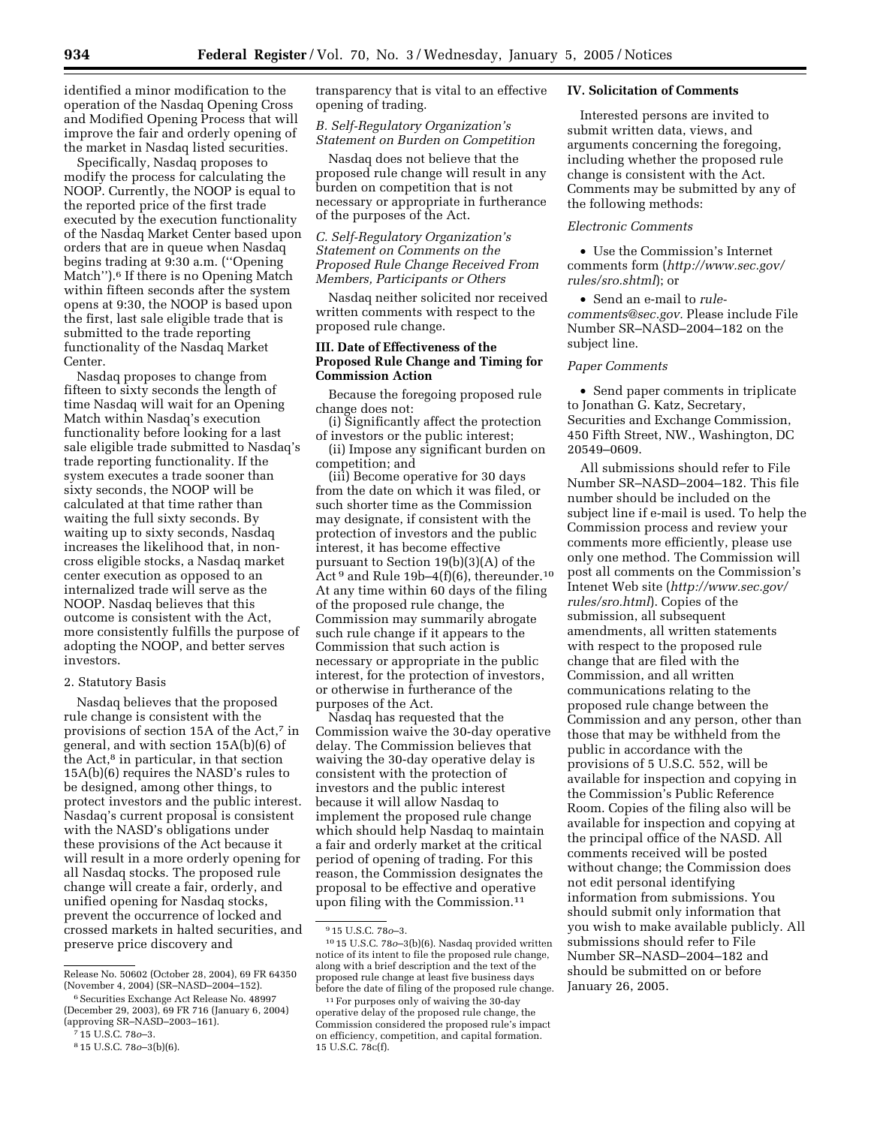identified a minor modification to the operation of the Nasdaq Opening Cross and Modified Opening Process that will improve the fair and orderly opening of the market in Nasdaq listed securities.

Specifically, Nasdaq proposes to modify the process for calculating the NOOP. Currently, the NOOP is equal to the reported price of the first trade executed by the execution functionality of the Nasdaq Market Center based upon orders that are in queue when Nasdaq begins trading at 9:30 a.m. (''Opening Match'').<sup>6</sup> If there is no Opening Match within fifteen seconds after the system opens at 9:30, the NOOP is based upon the first, last sale eligible trade that is submitted to the trade reporting functionality of the Nasdaq Market Center.

Nasdaq proposes to change from fifteen to sixty seconds the length of time Nasdaq will wait for an Opening Match within Nasdaq's execution functionality before looking for a last sale eligible trade submitted to Nasdaq's trade reporting functionality. If the system executes a trade sooner than sixty seconds, the NOOP will be calculated at that time rather than waiting the full sixty seconds. By waiting up to sixty seconds, Nasdaq increases the likelihood that, in noncross eligible stocks, a Nasdaq market center execution as opposed to an internalized trade will serve as the NOOP. Nasdaq believes that this outcome is consistent with the Act, more consistently fulfills the purpose of adopting the NOOP, and better serves investors.

#### 2. Statutory Basis

Nasdaq believes that the proposed rule change is consistent with the provisions of section 15A of the Act,7 in general, and with section 15A(b)(6) of the Act,<sup>8</sup> in particular, in that section 15A(b)(6) requires the NASD's rules to be designed, among other things, to protect investors and the public interest. Nasdaq's current proposal is consistent with the NASD's obligations under these provisions of the Act because it will result in a more orderly opening for all Nasdaq stocks. The proposed rule change will create a fair, orderly, and unified opening for Nasdaq stocks, prevent the occurrence of locked and crossed markets in halted securities, and preserve price discovery and

transparency that is vital to an effective opening of trading.

#### *B. Self-Regulatory Organization's Statement on Burden on Competition*

Nasdaq does not believe that the proposed rule change will result in any burden on competition that is not necessary or appropriate in furtherance of the purposes of the Act.

*C. Self-Regulatory Organization's Statement on Comments on the Proposed Rule Change Received From Members, Participants or Others* 

Nasdaq neither solicited nor received written comments with respect to the proposed rule change.

## **III. Date of Effectiveness of the Proposed Rule Change and Timing for Commission Action**

Because the foregoing proposed rule change does not:

(i) Significantly affect the protection of investors or the public interest;

(ii) Impose any significant burden on competition; and

(iii) Become operative for 30 days from the date on which it was filed, or such shorter time as the Commission may designate, if consistent with the protection of investors and the public interest, it has become effective pursuant to Section 19(b)(3)(A) of the Act 9 and Rule 19b–4(f)(6), thereunder.10 At any time within 60 days of the filing of the proposed rule change, the Commission may summarily abrogate such rule change if it appears to the Commission that such action is necessary or appropriate in the public interest, for the protection of investors, or otherwise in furtherance of the purposes of the Act.

Nasdaq has requested that the Commission waive the 30-day operative delay. The Commission believes that waiving the 30-day operative delay is consistent with the protection of investors and the public interest because it will allow Nasdaq to implement the proposed rule change which should help Nasdaq to maintain a fair and orderly market at the critical period of opening of trading. For this reason, the Commission designates the proposal to be effective and operative upon filing with the Commission.11

## **IV. Solicitation of Comments**

Interested persons are invited to submit written data, views, and arguments concerning the foregoing, including whether the proposed rule change is consistent with the Act. Comments may be submitted by any of the following methods:

### *Electronic Comments*

• Use the Commission's Internet comments form (*http://www.sec.gov/ rules/sro.shtml*); or

• Send an e-mail to *rulecomments@sec.gov.* Please include File Number SR–NASD–2004–182 on the subject line.

#### *Paper Comments*

• Send paper comments in triplicate to Jonathan G. Katz, Secretary, Securities and Exchange Commission, 450 Fifth Street, NW., Washington, DC 20549–0609.

All submissions should refer to File Number SR–NASD–2004–182. This file number should be included on the subject line if e-mail is used. To help the Commission process and review your comments more efficiently, please use only one method. The Commission will post all comments on the Commission's Intenet Web site (*http://www.sec.gov/ rules/sro.html*). Copies of the submission, all subsequent amendments, all written statements with respect to the proposed rule change that are filed with the Commission, and all written communications relating to the proposed rule change between the Commission and any person, other than those that may be withheld from the public in accordance with the provisions of 5 U.S.C. 552, will be available for inspection and copying in the Commission's Public Reference Room. Copies of the filing also will be available for inspection and copying at the principal office of the NASD. All comments received will be posted without change; the Commission does not edit personal identifying information from submissions. You should submit only information that you wish to make available publicly. All submissions should refer to File Number SR–NASD–2004–182 and should be submitted on or before January 26, 2005.

Release No. 50602 (October 28, 2004), 69 FR 64350 (November 4, 2004) (SR–NASD–2004–152).

<sup>&</sup>lt;sup>6</sup> Securities Exchange Act Release No. 48997 (December 29, 2003), 69 FR 716 (January 6, 2004) (approving SR–NASD–2003–161).

<sup>7</sup> 15 U.S.C. 78*o*–3.

<sup>8</sup> 15 U.S.C. 78*o*–3(b)(6).

<sup>9</sup> 15 U.S.C. 78*o*–3.

<sup>10</sup> 15 U.S.C. 78*o*–3(b)(6). Nasdaq provided written notice of its intent to file the proposed rule change, along with a brief description and the text of the proposed rule change at least five business days before the date of filing of the proposed rule change.

<sup>11</sup>For purposes only of waiving the 30-day operative delay of the proposed rule change, the Commission considered the proposed rule's impact on efficiency, competition, and capital formation. 15 U.S.C. 78c(f).